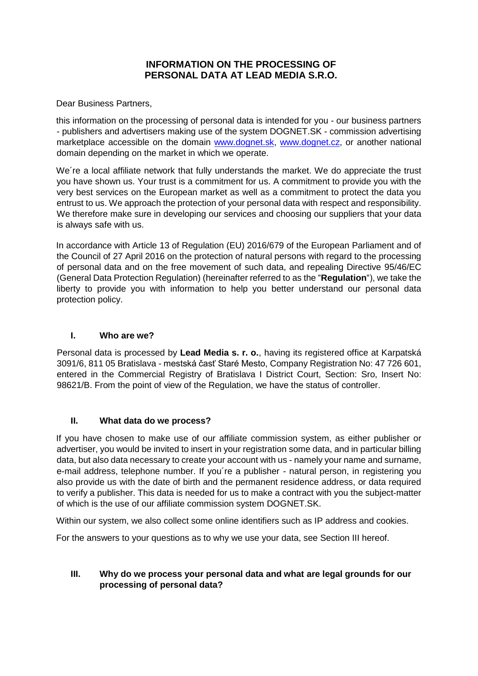# **INFORMATION ON THE PROCESSING OF PERSONAL DATA AT LEAD MEDIA S.R.O.**

Dear Business Partners,

this information on the processing of personal data is intended for you - our business partners - publishers and advertisers making use of the system DOGNET.SK - commission advertising marketplace accessible on the domain [www.dognet.sk,](http://www.dognet.sk/) [www.dognet.cz,](http://www.dognet.cz/) or another national domain depending on the market in which we operate.

We´re a local affiliate network that fully understands the market. We do appreciate the trust you have shown us. Your trust is a commitment for us. A commitment to provide you with the very best services on the European market as well as a commitment to protect the data you entrust to us. We approach the protection of your personal data with respect and responsibility. We therefore make sure in developing our services and choosing our suppliers that your data is always safe with us.

In accordance with Article 13 of Regulation (EU) 2016/679 of the European Parliament and of the Council of 27 April 2016 on the protection of natural persons with regard to the processing of personal data and on the free movement of such data, and repealing Directive 95/46/EC (General Data Protection Regulation) (hereinafter referred to as the "**Regulation**"), we take the liberty to provide you with information to help you better understand our personal data protection policy.

### **I. Who are we?**

Personal data is processed by **Lead Media s. r. o.**, having its registered office at Karpatská 3091/6, 811 05 Bratislava - mestská časť Staré Mesto, Company Registration No: 47 726 601, entered in the Commercial Registry of Bratislava I District Court, Section: Sro, Insert No: 98621/B. From the point of view of the Regulation, we have the status of controller.

#### **II. What data do we process?**

If you have chosen to make use of our affiliate commission system, as either publisher or advertiser, you would be invited to insert in your registration some data, and in particular billing data, but also data necessary to create your account with us - namely your name and surname, e-mail address, telephone number. If you´re a publisher - natural person, in registering you also provide us with the date of birth and the permanent residence address, or data required to verify a publisher. This data is needed for us to make a contract with you the subject-matter of which is the use of our affiliate commission system DOGNET.SK.

Within our system, we also collect some online identifiers such as IP address and cookies.

For the answers to your questions as to why we use your data, see Section III hereof.

## **III. Why do we process your personal data and what are legal grounds for our processing of personal data?**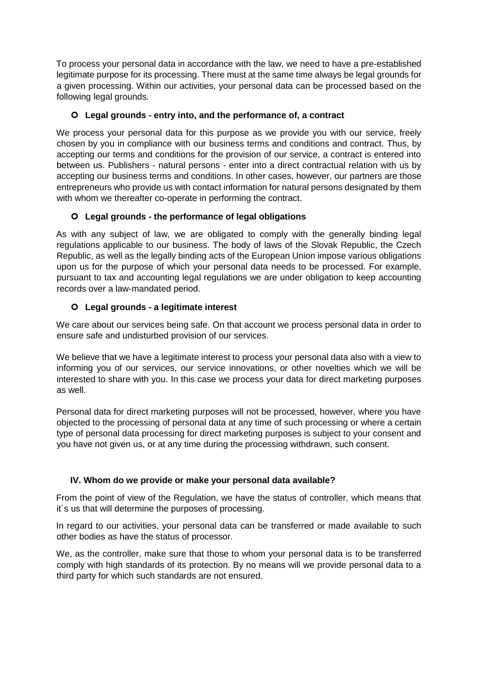To process your personal data in accordance with the law, we need to have a pre-established legitimate purpose for its processing. There must at the same time always be legal grounds for a given processing. Within our activities, your personal data can be processed based on the following legal grounds.

# **Legal grounds - entry into, and the performance of, a contract**

We process your personal data for this purpose as we provide you with our service, freely chosen by you in compliance with our business terms and conditions and contract. Thus, by accepting our terms and conditions for the provision of our service, a contract is entered into between us. Publishers - natural persons - enter into a direct contractual relation with us by accepting our business terms and conditions. In other cases, however, our partners are those entrepreneurs who provide us with contact information for natural persons designated by them with whom we thereafter co-operate in performing the contract.

# **Legal grounds - the performance of legal obligations**

As with any subject of law, we are obligated to comply with the generally binding legal regulations applicable to our business. The body of laws of the Slovak Republic, the Czech Republic, as well as the legally binding acts of the European Union impose various obligations upon us for the purpose of which your personal data needs to be processed. For example, pursuant to tax and accounting legal regulations we are under obligation to keep accounting records over a law-mandated period.

# **Legal grounds - a legitimate interest**

We care about our services being safe. On that account we process personal data in order to ensure safe and undisturbed provision of our services.

We believe that we have a legitimate interest to process your personal data also with a view to informing you of our services, our service innovations, or other novelties which we will be interested to share with you. In this case we process your data for direct marketing purposes as well.

Personal data for direct marketing purposes will not be processed, however, where you have objected to the processing of personal data at any time of such processing or where a certain type of personal data processing for direct marketing purposes is subject to your consent and you have not given us, or at any time during the processing withdrawn, such consent.

## **IV. Whom do we provide or make your personal data available?**

From the point of view of the Regulation, we have the status of controller, which means that it´s us that will determine the purposes of processing.

In regard to our activities, your personal data can be transferred or made available to such other bodies as have the status of processor.

We, as the controller, make sure that those to whom your personal data is to be transferred comply with high standards of its protection. By no means will we provide personal data to a third party for which such standards are not ensured.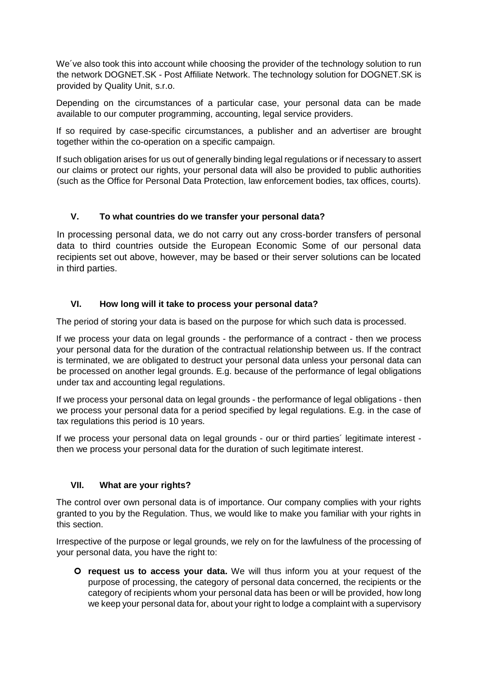We´ve also took this into account while choosing the provider of the technology solution to run the network DOGNET.SK - Post Affiliate Network. The technology solution for DOGNET.SK is provided by Quality Unit, s.r.o.

Depending on the circumstances of a particular case, your personal data can be made available to our computer programming, accounting, legal service providers.

If so required by case-specific circumstances, a publisher and an advertiser are brought together within the co-operation on a specific campaign.

If such obligation arises for us out of generally binding legal regulations or if necessary to assert our claims or protect our rights, your personal data will also be provided to public authorities (such as the Office for Personal Data Protection, law enforcement bodies, tax offices, courts).

#### **V. To what countries do we transfer your personal data?**

In processing personal data, we do not carry out any cross-border transfers of personal data to third countries outside the European Economic Some of our personal data recipients set out above, however, may be based or their server solutions can be located in third parties.

#### **VI. How long will it take to process your personal data?**

The period of storing your data is based on the purpose for which such data is processed.

If we process your data on legal grounds - the performance of a contract - then we process your personal data for the duration of the contractual relationship between us. If the contract is terminated, we are obligated to destruct your personal data unless your personal data can be processed on another legal grounds. E.g. because of the performance of legal obligations under tax and accounting legal regulations.

If we process your personal data on legal grounds - the performance of legal obligations - then we process your personal data for a period specified by legal regulations. E.g. in the case of tax regulations this period is 10 years.

If we process your personal data on legal grounds - our or third parties´ legitimate interest then we process your personal data for the duration of such legitimate interest.

#### **VII. What are your rights?**

The control over own personal data is of importance. Our company complies with your rights granted to you by the Regulation. Thus, we would like to make you familiar with your rights in this section.

Irrespective of the purpose or legal grounds, we rely on for the lawfulness of the processing of your personal data, you have the right to:

 **request us to access your data.** We will thus inform you at your request of the purpose of processing, the category of personal data concerned, the recipients or the category of recipients whom your personal data has been or will be provided, how long we keep your personal data for, about your right to lodge a complaint with a supervisory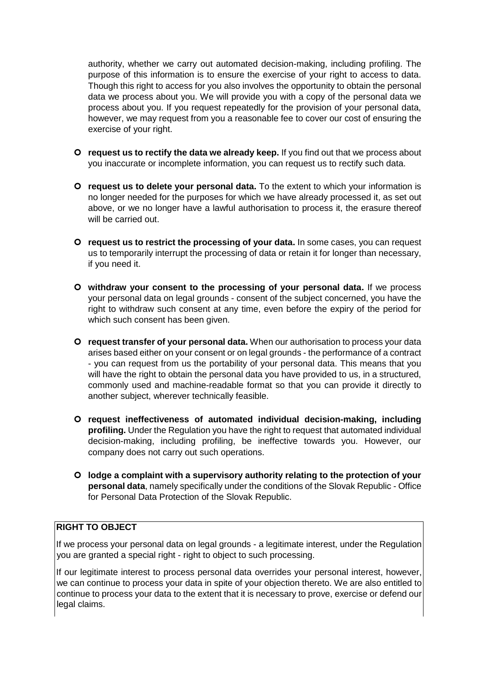authority, whether we carry out automated decision-making, including profiling. The purpose of this information is to ensure the exercise of your right to access to data. Though this right to access for you also involves the opportunity to obtain the personal data we process about you. We will provide you with a copy of the personal data we process about you. If you request repeatedly for the provision of your personal data, however, we may request from you a reasonable fee to cover our cost of ensuring the exercise of your right.

- **request us to rectify the data we already keep.** If you find out that we process about you inaccurate or incomplete information, you can request us to rectify such data.
- **request us to delete your personal data.** To the extent to which your information is no longer needed for the purposes for which we have already processed it, as set out above, or we no longer have a lawful authorisation to process it, the erasure thereof will be carried out.
- **request us to restrict the processing of your data.** In some cases, you can request us to temporarily interrupt the processing of data or retain it for longer than necessary, if you need it.
- **withdraw your consent to the processing of your personal data.** If we process your personal data on legal grounds - consent of the subject concerned, you have the right to withdraw such consent at any time, even before the expiry of the period for which such consent has been given.
- **request transfer of your personal data.** When our authorisation to process your data arises based either on your consent or on legal grounds - the performance of a contract - you can request from us the portability of your personal data. This means that you will have the right to obtain the personal data you have provided to us, in a structured, commonly used and machine-readable format so that you can provide it directly to another subject, wherever technically feasible.
- **request ineffectiveness of automated individual decision-making, including profiling.** Under the Regulation you have the right to request that automated individual decision-making, including profiling, be ineffective towards you. However, our company does not carry out such operations.
- **lodge a complaint with a supervisory authority relating to the protection of your personal data**, namely specifically under the conditions of the Slovak Republic - Office for Personal Data Protection of the Slovak Republic.

# **RIGHT TO OBJECT**

If we process your personal data on legal grounds - a legitimate interest, under the Regulation you are granted a special right - right to object to such processing.

If our legitimate interest to process personal data overrides your personal interest, however, we can continue to process your data in spite of your objection thereto. We are also entitled to continue to process your data to the extent that it is necessary to prove, exercise or defend our legal claims.